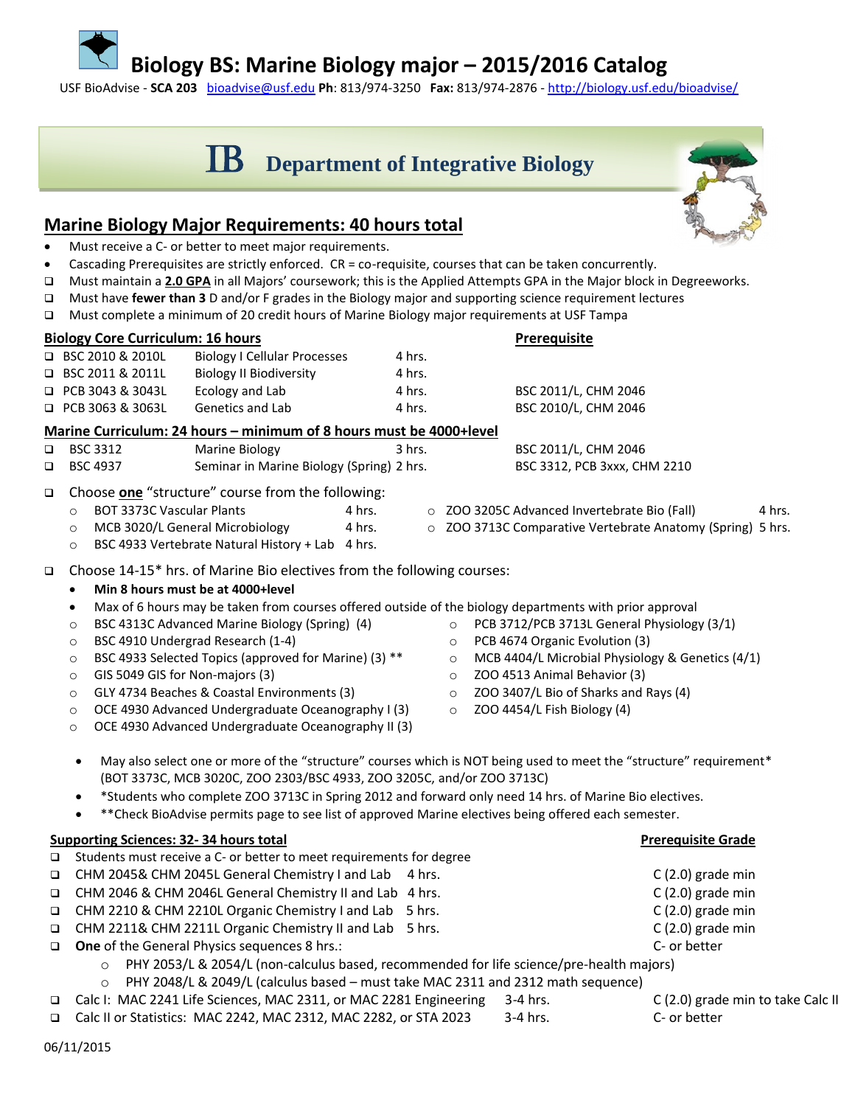## **Biology BS: Marine Biology major – 2015/2016 Catalog**

USF BioAdvise - **SCA 203** [bioadvise@usf.edu](mailto:bioadvise@usf.edu) **Ph**: 813/974-3250 **Fax:** 813/974-2876 - <http://biology.usf.edu/bioadvise/>

# **SCHUBLIPPO DEPARTMENT OF Integrative Biology**

### **Marine Biology Major Requirements: 40 hours total**

- Must receive a C- or better to meet major requirements.
- Cascading Prerequisites are strictly enforced. CR = co-requisite, courses that can be taken concurrently.
- Must maintain a **2.0 GPA** in all Majors' coursework; this is the Applied Attempts GPA in the Major block in Degreeworks.
- Must have **fewer than 3** D and/or F grades in the Biology major and supporting science requirement lectures
- Must complete a minimum of 20 credit hours of Marine Biology major requirements at USF Tampa

| <b>Biology Core Curriculum: 16 hours</b>                            |                                                   |                                           |          | <b>Prerequisite</b>                          |        |  |  |
|---------------------------------------------------------------------|---------------------------------------------------|-------------------------------------------|----------|----------------------------------------------|--------|--|--|
|                                                                     | $\Box$ BSC 2010 & 2010L                           | <b>Biology I Cellular Processes</b>       | 4 hrs.   |                                              |        |  |  |
|                                                                     | $\Box$ BSC 2011 & 2011L                           | <b>Biology II Biodiversity</b>            | 4 hrs.   |                                              |        |  |  |
|                                                                     | $\Box$ PCB 3043 & 3043L                           | Ecology and Lab                           | 4 hrs.   | BSC 2011/L, CHM 2046                         |        |  |  |
|                                                                     | $\Box$ PCB 3063 & 3063L                           | Genetics and Lab                          | 4 hrs.   | BSC 2010/L, CHM 2046                         |        |  |  |
| Marine Curriculum: 24 hours - minimum of 8 hours must be 4000+level |                                                   |                                           |          |                                              |        |  |  |
| $\Box$                                                              | <b>BSC 3312</b>                                   | Marine Biology                            | $3$ hrs. | BSC 2011/L, CHM 2046                         |        |  |  |
| $\Box$                                                              | <b>BSC 4937</b>                                   | Seminar in Marine Biology (Spring) 2 hrs. |          | BSC 3312, PCB 3xxx, CHM 2210                 |        |  |  |
| $\Box$                                                              | Choose one "structure" course from the following: |                                           |          |                                              |        |  |  |
|                                                                     | <b>BOT 3373C Vascular Plants</b><br>$\circ$       |                                           | 4 hrs.   | O ZOO 3205C Advanced Invertebrate Bio (Fall) | 4 hrs. |  |  |

- - o ZOO 3713C Comparative Vertebrate Anatomy (Spring) 5 hrs.
- o MCB 3020/L General Microbiology 4 hrs. o BSC 4933 Vertebrate Natural History + Lab 4 hrs.

Choose 14-15\* hrs. of Marine Bio electives from the following courses:

- **Min 8 hours must be at 4000+level**
- Max of 6 hours may be taken from courses offered outside of the biology departments with prior approval
- o BSC 4313C Advanced Marine Biology (Spring) (4)
- o BSC 4910 Undergrad Research (1-4)
- o BSC 4933 Selected Topics (approved for Marine) (3) \*\*
- o GIS 5049 GIS for Non-majors (3)
- o GLY 4734 Beaches & Coastal Environments (3)
- o OCE 4930 Advanced Undergraduate Oceanography I (3)
- o OCE 4930 Advanced Undergraduate Oceanography II (3)
- o PCB 3712/PCB 3713L General Physiology (3/1)
- o PCB 4674 Organic Evolution (3)
- o MCB 4404/L Microbial Physiology & Genetics (4/1)
- o ZOO 4513 Animal Behavior (3)
- o ZOO 3407/L Bio of Sharks and Rays (4)
- $\circ$  ZOO 4454/L Fish Biology (4)
- May also select one or more of the "structure" courses which is NOT being used to meet the "structure" requirement\* (BOT 3373C, MCB 3020C, ZOO 2303/BSC 4933, ZOO 3205C, and/or ZOO 3713C)
- \*Students who complete ZOO 3713C in Spring 2012 and forward only need 14 hrs. of Marine Bio electives.
- \*\*Check BioAdvise permits page to see list of approved Marine electives being offered each semester.

|        | Supporting Sciences: 32-34 hours total                                                              | <b>Prerequisite Grade</b>         |  |  |  |
|--------|-----------------------------------------------------------------------------------------------------|-----------------------------------|--|--|--|
| $\Box$ | Students must receive a C- or better to meet requirements for degree                                |                                   |  |  |  |
|        | □ CHM 2045& CHM 2045L General Chemistry I and Lab 4 hrs.                                            | $C(2.0)$ grade min                |  |  |  |
|        | □ CHM 2046 & CHM 2046L General Chemistry II and Lab 4 hrs.                                          | $C(2.0)$ grade min                |  |  |  |
|        | □ CHM 2210 & CHM 2210L Organic Chemistry I and Lab 5 hrs.                                           | $C(2.0)$ grade min                |  |  |  |
|        | □ CHM 2211& CHM 2211L Organic Chemistry II and Lab 5 hrs.                                           | $C(2.0)$ grade min                |  |  |  |
|        | $\Box$ One of the General Physics sequences 8 hrs.:                                                 | C- or better                      |  |  |  |
|        | PHY 2053/L & 2054/L (non-calculus based, recommended for life science/pre-health majors)<br>$\circ$ |                                   |  |  |  |
|        | PHY 2048/L & 2049/L (calculus based - must take MAC 2311 and 2312 math sequence)<br>$\circ$         |                                   |  |  |  |
| $\Box$ | Calc I: MAC 2241 Life Sciences, MAC 2311, or MAC 2281 Engineering 3-4 hrs.                          | C (2.0) grade min to take Calc II |  |  |  |